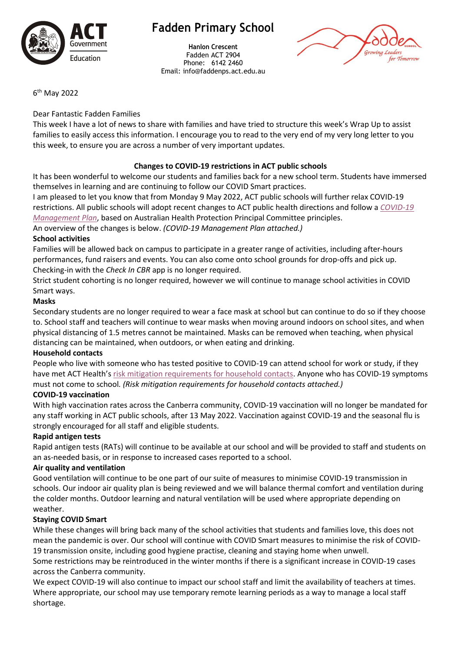

## **Fadden Primary School**

**Hanlon Crescent** Fadden ACT 2904 Phone: 6142 2460 Email: info@faddenps.act.edu.au



6 th May 2022

#### Dear Fantastic Fadden Families

This week I have a lot of news to share with families and have tried to structure this week's Wrap Up to assist families to easily access this information. I encourage you to read to the very end of my very long letter to you this week, to ensure you are across a number of very important updates.

## **Changes to COVID-19 restrictions in ACT public schools**

It has been wonderful to welcome our students and families back for a new school term. Students have immersed themselves in learning and are continuing to follow our COVID Smart practices.

I am pleased to let you know that from Monday 9 May 2022, ACT public schools will further relax COVID-19 restrictions. All public schools will adopt recent changes to ACT public health directions and follow a *[COVID-19](https://www.education.act.gov.au/__data/assets/pdf_file/0005/1998464/ACT-Public-Schools-COVID-Management-Plan.pdf)  [Management Plan](https://www.education.act.gov.au/__data/assets/pdf_file/0005/1998464/ACT-Public-Schools-COVID-Management-Plan.pdf)*, based on Australian Health Protection Principal Committee principles.

An overview of the changes is below. *(COVID-19 Management Plan attached.)*

#### **School activities**

Families will be allowed back on campus to participate in a greater range of activities, including after-hours performances, fund raisers and events. You can also come onto school grounds for drop-offs and pick up. Checking-in with the *Check In CBR* app is no longer required.

Strict student cohorting is no longer required, however we will continue to manage school activities in COVID Smart ways.

#### **Masks**

Secondary students are no longer required to wear a face mask at school but can continue to do so if they choose to. School staff and teachers will continue to wear masks when moving around indoors on school sites, and when physical distancing of 1.5 metres cannot be maintained. Masks can be removed when teaching, when physical distancing can be maintained, when outdoors, or when eating and drinking.

#### **Household contacts**

People who live with someone who has tested positive to COVID-19 can attend school for work or study, if they have met ACT Health's [risk mitigation requirements for household contacts.](https://www.covid19.act.gov.au/stay-safe-and-healthy/risk-mitigation-requirements-for-household-contacts) Anyone who has COVID-19 symptoms must not come to school*. (Risk mitigation requirements for household contacts attached.)*

#### **COVID-19 vaccination**

With high vaccination rates across the Canberra community, COVID-19 vaccination will no longer be mandated for any staff working in ACT public schools, after 13 May 2022. Vaccination against COVID-19 and the seasonal flu is strongly encouraged for all staff and eligible students.

#### **Rapid antigen tests**

Rapid antigen tests (RATs) will continue to be available at our school and will be provided to staff and students on an as-needed basis, or in response to increased cases reported to a school.

#### **Air quality and ventilation**

Good ventilation will continue to be one part of our suite of measures to minimise COVID-19 transmission in schools. Our indoor air quality plan is being reviewed and we will balance thermal comfort and ventilation during the colder months. Outdoor learning and natural ventilation will be used where appropriate depending on weather.

#### **Staying COVID Smart**

While these changes will bring back many of the school activities that students and families love, this does not mean the pandemic is over. Our school will continue with COVID Smart measures to minimise the risk of COVID-19 transmission onsite, including good hygiene practise, cleaning and staying home when unwell.

Some restrictions may be reintroduced in the winter months if there is a significant increase in COVID-19 cases across the Canberra community.

We expect COVID-19 will also continue to impact our school staff and limit the availability of teachers at times. Where appropriate, our school may use temporary remote learning periods as a way to manage a local staff shortage.